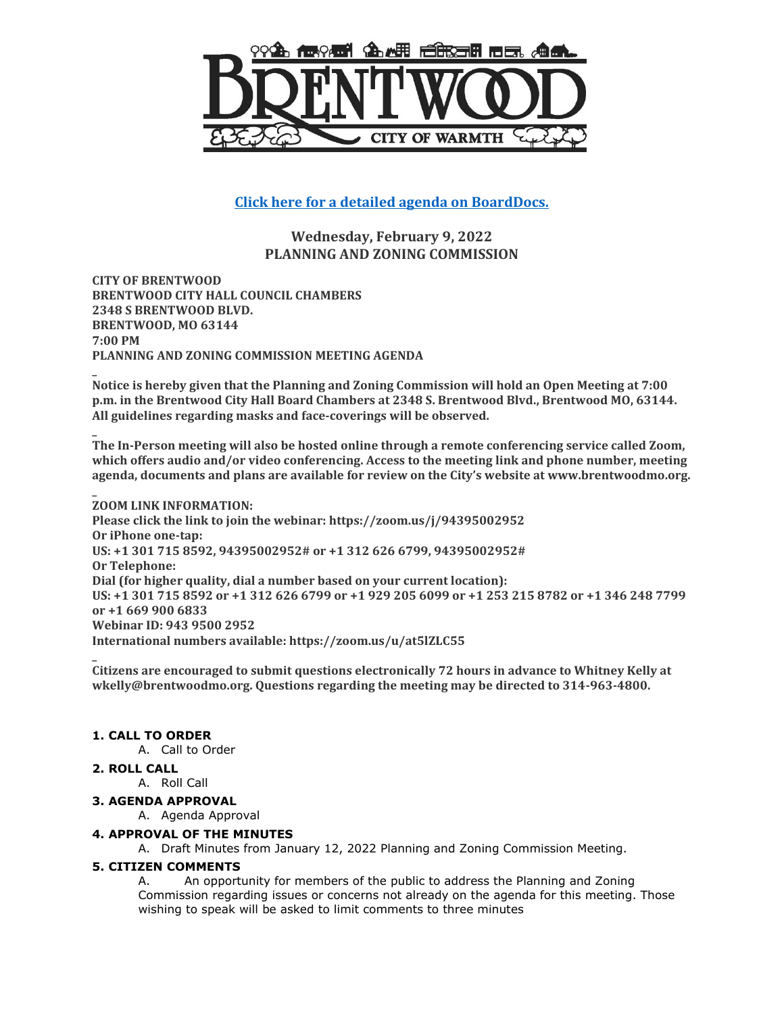

**[Click here for a detailed](http://go.boarddocs.com/mo/cob/Board.nsf/goto?open&id=C9HSFB70ACD8) agenda on BoardDocs.**

**Wednesday, February 9, 2022 PLANNING AND ZONING COMMISSION**

**CITY OF BRENTWOOD BRENTWOOD CITY HALL COUNCIL CHAMBERS 2348 S BRENTWOOD BLVD. BRENTWOOD, MO 63144 7:00 PM PLANNING AND ZONING COMMISSION MEETING AGENDA**

**Notice is hereby given that the Planning and Zoning Commission will hold an Open Meeting at 7:00 p.m. in the Brentwood City Hall Board Chambers at 2348 S. Brentwood Blvd., Brentwood MO, 63144. All guidelines regarding masks and face-coverings will be observed.**

**\_ The In-Person meeting will also be hosted online through a remote conferencing service called Zoom, which offers audio and/or video conferencing. Access to the meeting link and phone number, meeting agenda, documents and plans are available for review on the City's website at www.brentwoodmo.org.**

**\_ ZOOM LINK INFORMATION: Please click the link to join the webinar: https://zoom.us/j/94395002952 Or iPhone one-tap: US: +1 301 715 8592, 94395002952# or +1 312 626 6799, 94395002952# Or Telephone: Dial (for higher quality, dial a number based on your current location): US: +1 301 715 8592 or +1 312 626 6799 or +1 929 205 6099 or +1 253 215 8782 or +1 346 248 7799 or +1 669 900 6833 Webinar ID: 943 9500 2952 International numbers available: https://zoom.us/u/at5lZLC55**

**Citizens are encouraged to submit questions electronically 72 hours in advance to Whitney Kelly at wkelly@brentwoodmo.org. Questions regarding the meeting may be directed to 314-963-4800.**

# **1. CALL TO ORDER**

A. Call to Order

### **2. ROLL CALL**

**\_**

**\_**

A. Roll Call

# **3. AGENDA APPROVAL**

A. Agenda Approval

### **4. APPROVAL OF THE MINUTES**

A. Draft Minutes from January 12, 2022 Planning and Zoning Commission Meeting.

### **5. CITIZEN COMMENTS**

A. An opportunity for members of the public to address the Planning and Zoning Commission regarding issues or concerns not already on the agenda for this meeting. Those wishing to speak will be asked to limit comments to three minutes